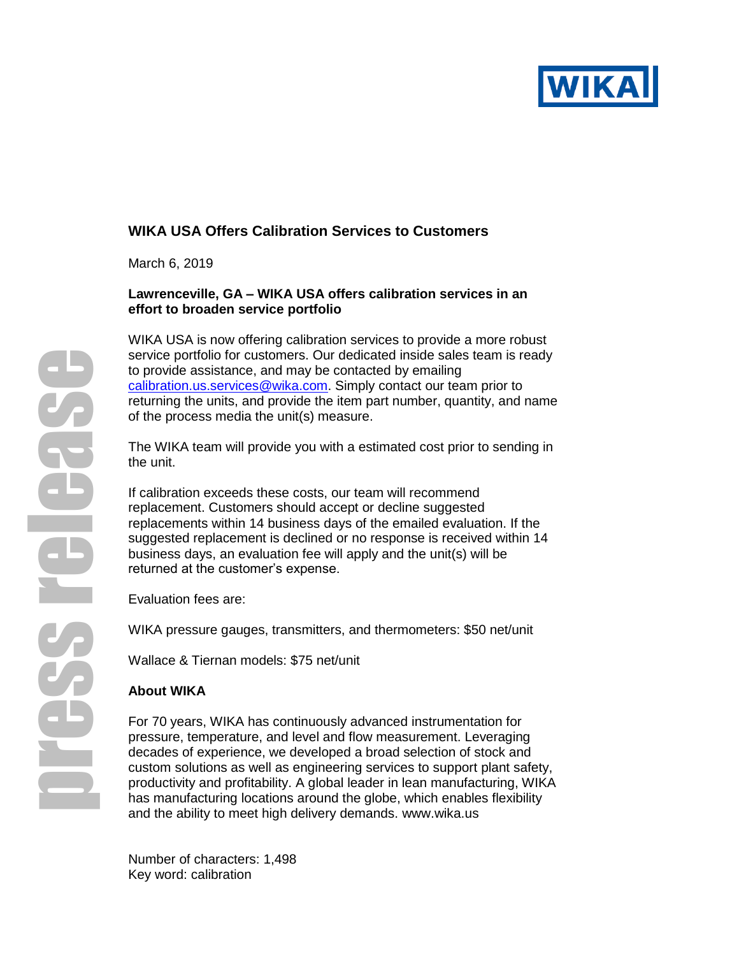

# **WIKA USA Offers Calibration Services to Customers**

March 6, 2019

## **Lawrenceville, GA – WIKA USA offers calibration services in an effort to broaden service portfolio**

WIKA USA is now offering calibration services to provide a more robust service portfolio for customers. Our dedicated inside sales team is ready to provide assistance, and may be contacted by emailing [calibration.us.services@wika.com.](file://///corp.root.int/Global/USLRW1-Office/Marketing/Marketing%20Group/Corporate%20Communication/Press%20Releases/calibration.us.services@wika.com) Simply contact our team prior to returning the units, and provide the item part number, quantity, and name of the process media the unit(s) measure.

The WIKA team will provide you with a estimated cost prior to sending in the unit.

If calibration exceeds these costs, our team will recommend replacement. Customers should accept or decline suggested replacements within 14 business days of the emailed evaluation. If the suggested replacement is declined or no response is received within 14 business days, an evaluation fee will apply and the unit(s) will be returned at the customer's expense.

Evaluation fees are:

WIKA pressure gauges, transmitters, and thermometers: \$50 net/unit

Wallace & Tiernan models: \$75 net/unit

## **About WIKA**

For 70 years, WIKA has continuously advanced instrumentation for pressure, temperature, and level and flow measurement. Leveraging decades of experience, we developed a broad selection of stock and custom solutions as well as engineering services to support plant safety, productivity and profitability. A global leader in lean manufacturing, WIKA has manufacturing locations around the globe, which enables flexibility and the ability to meet high delivery demands. [www.wika.us](http://www.wika.us/)

Number of characters: 1,498 Key word: calibration